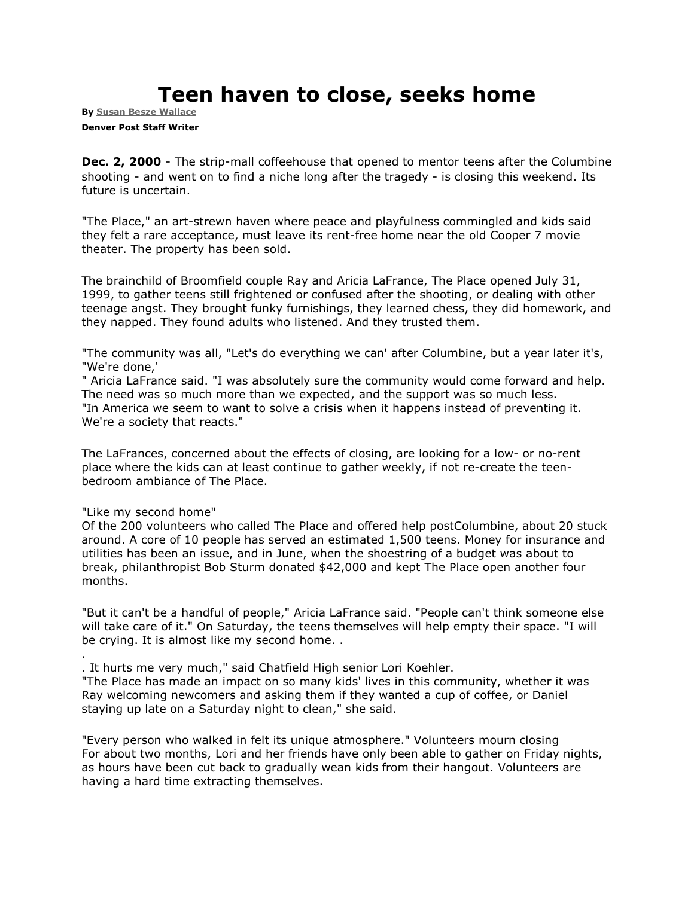## **Teen haven to close, seeks home**

**By [Susan Besze Wallace](mailto:swallace@denverpost.com) Denver Post Staff Writer**

**Dec. 2, 2000** - The strip-mall coffeehouse that opened to mentor teens after the Columbine shooting - and went on to find a niche long after the tragedy - is closing this weekend. Its future is uncertain.

"The Place," an art-strewn haven where peace and playfulness commingled and kids said they felt a rare acceptance, must leave its rent-free home near the old Cooper 7 movie theater. The property has been sold.

The brainchild of Broomfield couple Ray and Aricia LaFrance, The Place opened July 31, 1999, to gather teens still frightened or confused after the shooting, or dealing with other teenage angst. They brought funky furnishings, they learned chess, they did homework, and they napped. They found adults who listened. And they trusted them.

"The community was all, "Let's do everything we can' after Columbine, but a year later it's, "We're done,'

" Aricia LaFrance said. "I was absolutely sure the community would come forward and help. The need was so much more than we expected, and the support was so much less. "In America we seem to want to solve a crisis when it happens instead of preventing it. We're a society that reacts."

The LaFrances, concerned about the effects of closing, are looking for a low- or no-rent place where the kids can at least continue to gather weekly, if not re-create the teenbedroom ambiance of The Place.

"Like my second home"

.

Of the 200 volunteers who called The Place and offered help postColumbine, about 20 stuck around. A core of 10 people has served an estimated 1,500 teens. Money for insurance and utilities has been an issue, and in June, when the shoestring of a budget was about to break, philanthropist Bob Sturm donated \$42,000 and kept The Place open another four months.

"But it can't be a handful of people," Aricia LaFrance said. "People can't think someone else will take care of it." On Saturday, the teens themselves will help empty their space. "I will be crying. It is almost like my second home. .

. It hurts me very much," said Chatfield High senior Lori Koehler.

"The Place has made an impact on so many kids' lives in this community, whether it was Ray welcoming newcomers and asking them if they wanted a cup of coffee, or Daniel staying up late on a Saturday night to clean," she said.

"Every person who walked in felt its unique atmosphere." Volunteers mourn closing For about two months, Lori and her friends have only been able to gather on Friday nights, as hours have been cut back to gradually wean kids from their hangout. Volunteers are having a hard time extracting themselves.